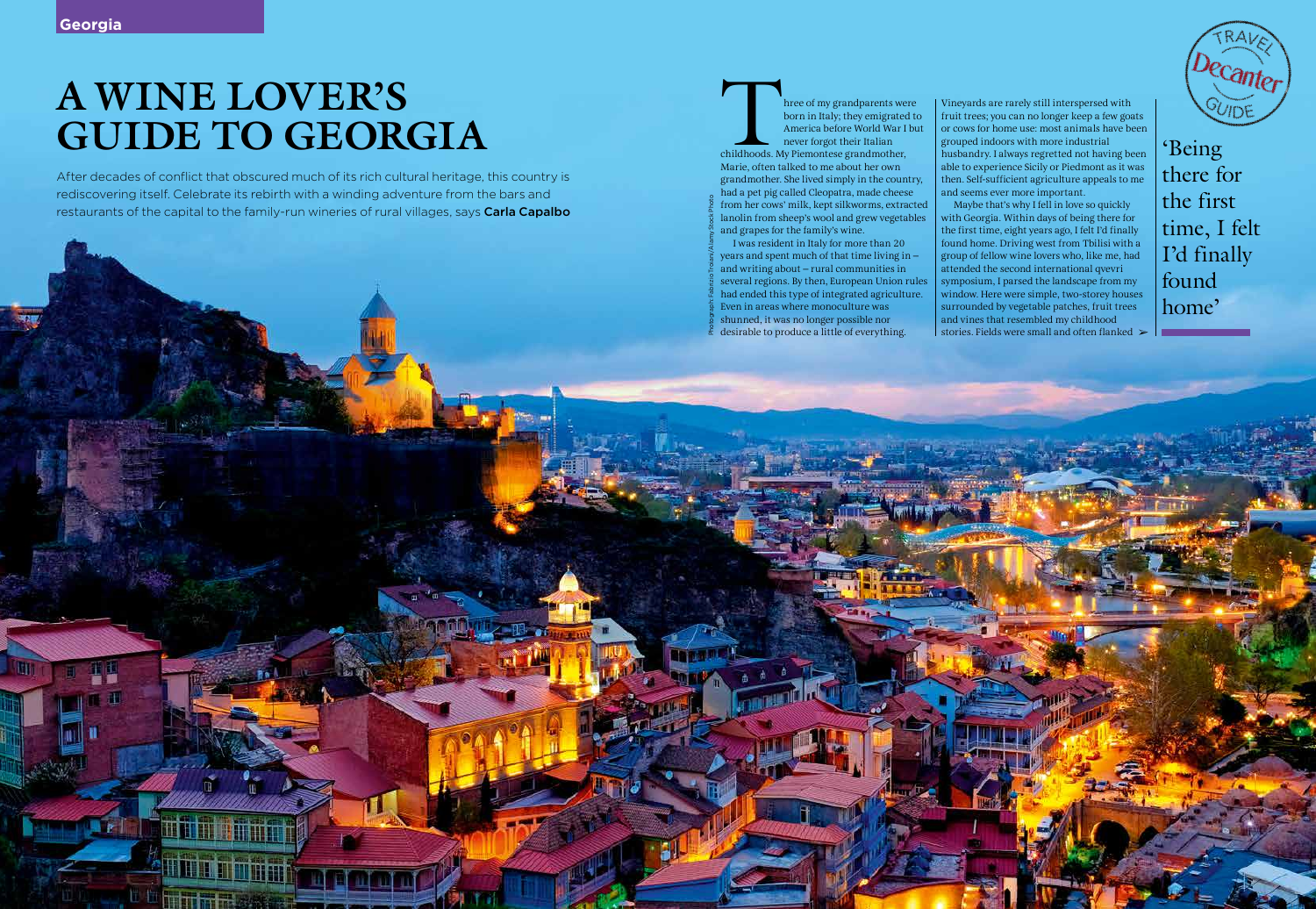After decades of conflict that obscured much of its rich cultural heritage, this country is rediscovering itself. Celebrate its rebirth with a winding adventure from the bars and restaurants of the capital to the family-run wineries of rural villages, says Carla Capalbo

# **A WINE LOVER'S GUIDE TO GEORGIA**

hree of my grandparents were born in Italy; they emigrated to America before World War I but never forgot their Italian childhoods. My Piemontese grandmother, Marie, often talked to me about her own grandmother. She lived simply in the country, had a pet pig called Cleopatra, made cheese from her cows' milk, kept silkworms, extracted lanolin from sheep's wool and grew vegetables and grapes for the family's wine.

Maybe that's why I fell in love so quickly with Georgia. Within days of being there for the first time, eight years ago, I felt I'd finally found home. Driving west from Tbilisi with a group of fellow wine lovers who, like me, had attended the second international qvevri symposium, I parsed the landscape from my window. Here were simple, two-storey houses surrounded by vegetable patches, fruit trees and vines that resembled my childhood stories. Fields were small and often flanked  $\blacktriangleright$ 

I was resident in Italy for more than 20 years and spent much of that time living in – and writing about – rural communities in several regions. By then, European Union rules had ended this type of integrated agriculture. Even in areas where monoculture was shunned, it was no longer possible nor desirable to produce a little of everything.

Vineyards are rarely still interspersed with fruit trees; you can no longer keep a few goats or cows for home use: most animals have been grouped indoors with more industrial husbandry. I always regretted not having been able to experience Sicily or Piedmont as it was then. Self-sufficient agriculture appeals to me and seems ever more important.

'Being there for the first time, I felt I'd finally found home'

Photograph: Fabrizio Troiani/Alamy Stock Photo

114 | June 2020 • Proposition | Decampion | 114 | 115 | 126 | 127 | 128 | 129 | 129 | 129 | 129 | 129 | 129 | 120 | 120 | 120 | 120 | 120 | 120 | 120 | 120 | 120 | 120 | 120 | 120 | 120 | 120 | 120 | 120 | 120 | 120 | 120

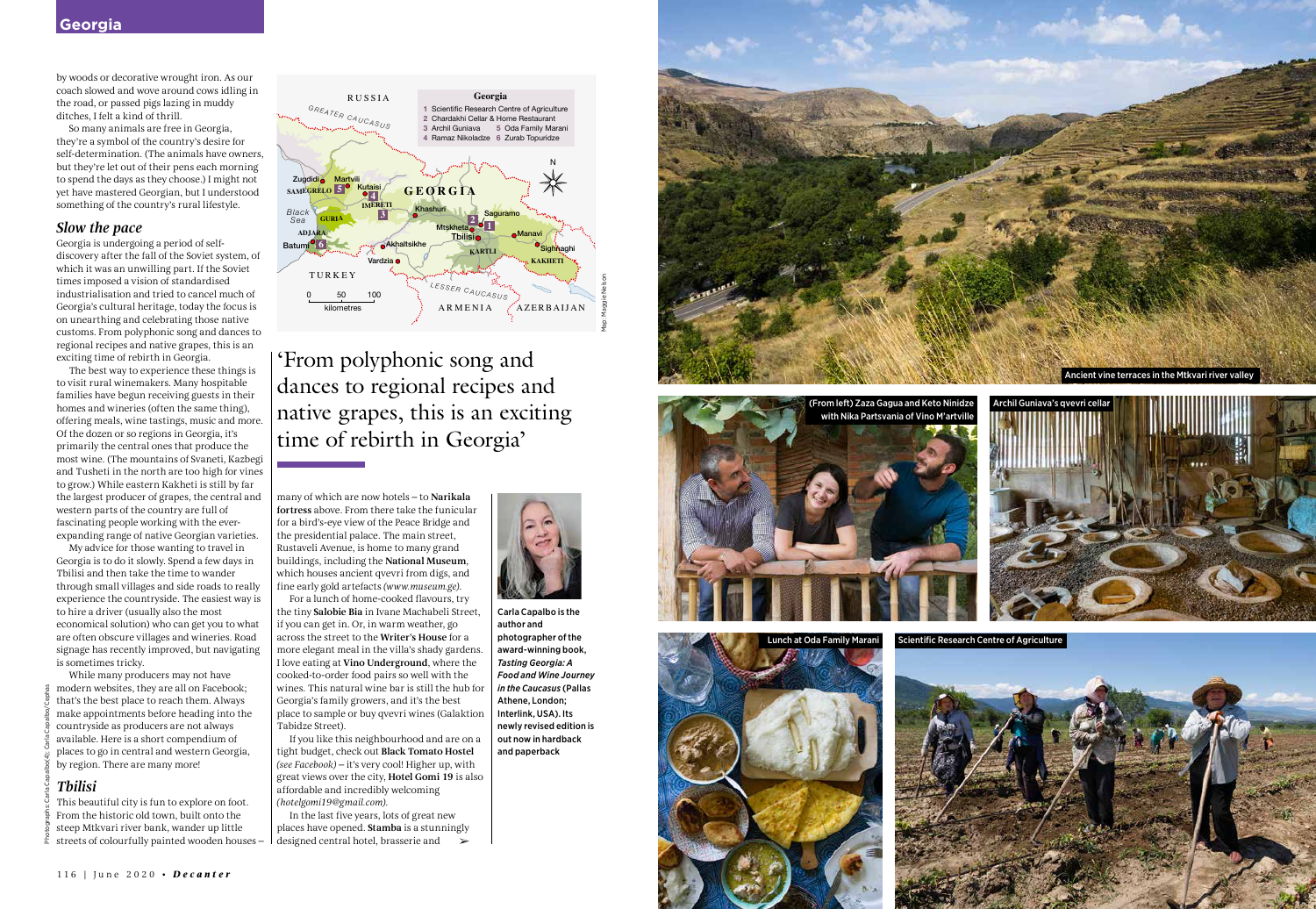by woods or decorative wrought iron. As our coach slowed and wove around cows idling in the road, or passed pigs lazing in muddy ditches, I felt a kind of thrill.

So many animals are free in Georgia, they're a symbol of the country's desire for self-determination. (The animals have owners, but they're let out of their pens each morning to spend the days as they choose.) I might not yet have mastered Georgian, but I understood something of the country's rural lifestyle.

#### *Slow the pace*

Georgia is undergoing a period of selfdiscovery after the fall of the Soviet system, of which it was an unwilling part. If the Soviet times imposed a vision of standardised industrialisation and tried to cancel much of Georgia's cultural heritage, today the focus is on unearthing and celebrating those native customs. From polyphonic song and dances to regional recipes and native grapes, this is an exciting time of rebirth in Georgia.

The best way to experience these things is to visit rural winemakers. Many hospitable families have begun receiving guests in their homes and wineries (often the same thing), offering meals, wine tastings, music and more. Of the dozen or so regions in Georgia, it's primarily the central ones that produce the most wine. (The mountains of Svaneti, Kazbegi and Tusheti in the north are too high for vines to grow.) While eastern Kakheti is still by far the largest producer of grapes, the central and western parts of the country are full of fascinating people working with the everexpanding range of native Georgian varieties.

My advice for those wanting to travel in Georgia is to do it slowly. Spend a few days in Tbilisi and then take the time to wander through small villages and side roads to really experience the countryside. The easiest way is to hire a driver (usually also the most economical solution) who can get you to what are often obscure villages and wineries. Road signage has recently improved, but navigating is sometimes tricky.

While many producers may not have modern websites, they are all on Facebook; that's the best place to reach them. Always make appointments before heading into the countryside as producers are not always available. Here is a short compendium of places to go in central and western Georgia, by region. There are many more!

## *Tbilisi*

This beautiful city is fun to explore on foot. From the historic old town, built onto the steep Mtkvari river bank, wander up little streets of colourfully painted wooden houses –



many of which are now hotels – to Narikala fortress above. From there take the funicular for a bird's-eye view of the Peace Bridge and the presidential palace. The main street, Rustaveli Avenue, is home to many grand buildings, including the National Museum, which houses ancient qvevri from digs, and fine early gold artefacts *(www.museum.ge)*.

For a lunch of home-cooked flavours, try the tiny Salobie Bia in Ivane Machabeli Street, if you can get in. Or, in warm weather, go across the street to the Writer's House for a more elegant meal in the villa's shady gardens. I love eating at Vino Underground, where the cooked-to-order food pairs so well with the wines. This natural wine bar is still the hub for Georgia's family growers, and it's the best place to sample or buy qvevri wines (Galaktion Tabidze Street).

If you like this neighbourhood and are on a tight budget, check out Black Tomato Hostel *(see Facebook)* – it's very cool! Higher up, with great views over the city, Hotel Gomi 19 is also affordable and incredibly welcoming *(hotelgomi19@gmail.com)*.

'From polyphonic song and dances to regional recipes and native grapes, this is an exciting time of rebirth in Georgia'

Carla Capalbo is the



author and photographer of the award-winning book, *Tasting Georgia: A Food and Wine Journey in the Caucasus* (Pallas Athene, London; Interlink, USA). Its newly revised edition is out now in hardback and paperback

In the last five years, lots of great new places have opened. Stamba is a stunningly designed central hotel, brasserie and ➢

Scientific Research Centre of Agriculture